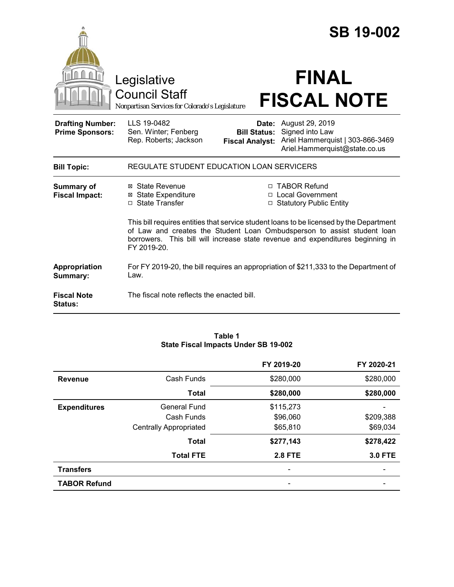|                                                   |                                                                                                                                                                                                                                                                     |                                                        | <b>SB 19-002</b>                                                                                        |
|---------------------------------------------------|---------------------------------------------------------------------------------------------------------------------------------------------------------------------------------------------------------------------------------------------------------------------|--------------------------------------------------------|---------------------------------------------------------------------------------------------------------|
|                                                   | Legislative<br><b>Council Staff</b><br>Nonpartisan Services for Colorado's Legislature                                                                                                                                                                              |                                                        | <b>FINAL</b><br><b>FISCAL NOTE</b>                                                                      |
| <b>Drafting Number:</b><br><b>Prime Sponsors:</b> | LLS 19-0482<br>Sen. Winter; Fenberg<br>Rep. Roberts; Jackson                                                                                                                                                                                                        | Date:<br><b>Bill Status:</b><br><b>Fiscal Analyst:</b> | August 29, 2019<br>Signed into Law<br>Ariel Hammerquist   303-866-3469<br>Ariel.Hammerquist@state.co.us |
| <b>Bill Topic:</b>                                | REGULATE STUDENT EDUCATION LOAN SERVICERS                                                                                                                                                                                                                           |                                                        |                                                                                                         |
| <b>Summary of</b><br><b>Fiscal Impact:</b>        | ⊠ State Revenue<br><b>State Expenditure</b><br>⊠<br>□ State Transfer                                                                                                                                                                                                |                                                        | □ TABOR Refund<br>□ Local Government<br>□ Statutory Public Entity                                       |
|                                                   | This bill requires entities that service student loans to be licensed by the Department<br>of Law and creates the Student Loan Ombudsperson to assist student loan<br>borrowers. This bill will increase state revenue and expenditures beginning in<br>FY 2019-20. |                                                        |                                                                                                         |
| Appropriation<br>Summary:                         | Law.                                                                                                                                                                                                                                                                |                                                        | For FY 2019-20, the bill requires an appropriation of \$211,333 to the Department of                    |
| <b>Fiscal Note</b><br><b>Status:</b>              | The fiscal note reflects the enacted bill.                                                                                                                                                                                                                          |                                                        |                                                                                                         |

## **Table 1 State Fiscal Impacts Under SB 19-002**

|                     |                               | FY 2019-20     | FY 2020-21     |
|---------------------|-------------------------------|----------------|----------------|
| <b>Revenue</b>      | Cash Funds                    | \$280,000      | \$280,000      |
|                     | <b>Total</b>                  | \$280,000      | \$280,000      |
| <b>Expenditures</b> | <b>General Fund</b>           | \$115,273      |                |
|                     | Cash Funds                    | \$96,060       | \$209,388      |
|                     | <b>Centrally Appropriated</b> | \$65,810       | \$69,034       |
|                     | <b>Total</b>                  | \$277,143      | \$278,422      |
|                     | <b>Total FTE</b>              | <b>2.8 FTE</b> | <b>3.0 FTE</b> |
| <b>Transfers</b>    |                               |                |                |
| <b>TABOR Refund</b> |                               |                |                |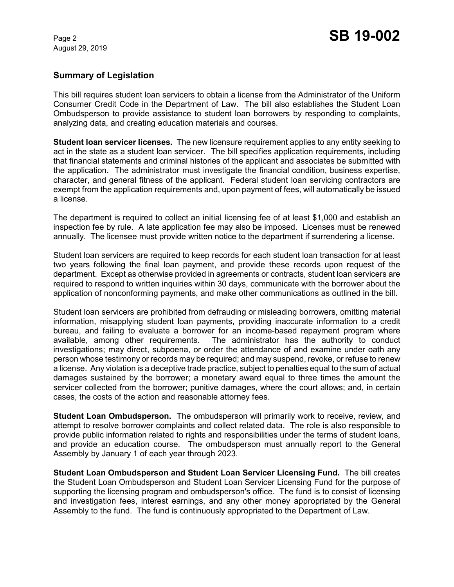August 29, 2019

# **Summary of Legislation**

This bill requires student loan servicers to obtain a license from the Administrator of the Uniform Consumer Credit Code in the Department of Law. The bill also establishes the Student Loan Ombudsperson to provide assistance to student loan borrowers by responding to complaints, analyzing data, and creating education materials and courses.

**Student loan servicer licenses.** The new licensure requirement applies to any entity seeking to act in the state as a student loan servicer. The bill specifies application requirements, including that financial statements and criminal histories of the applicant and associates be submitted with the application. The administrator must investigate the financial condition, business expertise, character, and general fitness of the applicant. Federal student loan servicing contractors are exempt from the application requirements and, upon payment of fees, will automatically be issued a license.

The department is required to collect an initial licensing fee of at least \$1,000 and establish an inspection fee by rule. A late application fee may also be imposed. Licenses must be renewed annually. The licensee must provide written notice to the department if surrendering a license.

Student loan servicers are required to keep records for each student loan transaction for at least two years following the final loan payment, and provide these records upon request of the department. Except as otherwise provided in agreements or contracts, student loan servicers are required to respond to written inquiries within 30 days, communicate with the borrower about the application of nonconforming payments, and make other communications as outlined in the bill.

Student loan servicers are prohibited from defrauding or misleading borrowers, omitting material information, misapplying student loan payments, providing inaccurate information to a credit bureau, and failing to evaluate a borrower for an income-based repayment program where available, among other requirements. The administrator has the authority to conduct investigations; may direct, subpoena, or order the attendance of and examine under oath any person whose testimony or records may be required; and may suspend, revoke, or refuse to renew a license. Any violation is a deceptive trade practice, subject to penalties equal to the sum of actual damages sustained by the borrower; a monetary award equal to three times the amount the servicer collected from the borrower; punitive damages, where the court allows; and, in certain cases, the costs of the action and reasonable attorney fees.

**Student Loan Ombudsperson.** The ombudsperson will primarily work to receive, review, and attempt to resolve borrower complaints and collect related data. The role is also responsible to provide public information related to rights and responsibilities under the terms of student loans, and provide an education course. The ombudsperson must annually report to the General Assembly by January 1 of each year through 2023.

**Student Loan Ombudsperson and Student Loan Servicer Licensing Fund.** The bill creates the Student Loan Ombudsperson and Student Loan Servicer Licensing Fund for the purpose of supporting the licensing program and ombudsperson's office. The fund is to consist of licensing and investigation fees, interest earnings, and any other money appropriated by the General Assembly to the fund. The fund is continuously appropriated to the Department of Law.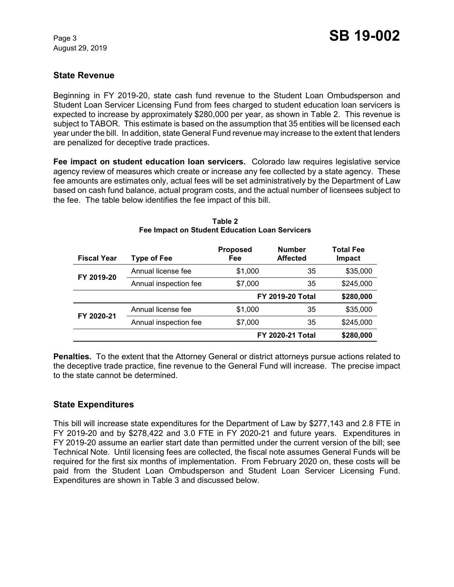August 29, 2019

# **State Revenue**

Beginning in FY 2019-20, state cash fund revenue to the Student Loan Ombudsperson and Student Loan Servicer Licensing Fund from fees charged to student education loan servicers is expected to increase by approximately \$280,000 per year, as shown in Table 2. This revenue is subject to TABOR. This estimate is based on the assumption that 35 entities will be licensed each year under the bill. In addition, state General Fund revenue may increase to the extent that lenders are penalized for deceptive trade practices.

**Fee impact on student education loan servicers.** Colorado law requires legislative service agency review of measures which create or increase any fee collected by a state agency. These fee amounts are estimates only, actual fees will be set administratively by the Department of Law based on cash fund balance, actual program costs, and the actual number of licensees subject to the fee. The table below identifies the fee impact of this bill.

| <b>Fiscal Year</b> | <b>Type of Fee</b>    | <b>Proposed</b><br>Fee  | <b>Number</b><br><b>Affected</b> | Total Fee<br><b>Impact</b> |
|--------------------|-----------------------|-------------------------|----------------------------------|----------------------------|
| FY 2019-20         | Annual license fee    | \$1,000                 | 35                               | \$35,000                   |
|                    | Annual inspection fee | \$7,000                 | 35                               | \$245,000                  |
|                    |                       | <b>FY 2019-20 Total</b> |                                  | \$280,000                  |
| FY 2020-21         | Annual license fee    | \$1,000                 | 35                               | \$35,000                   |
|                    | Annual inspection fee | \$7,000                 | 35                               | \$245,000                  |
|                    |                       | <b>FY 2020-21 Total</b> |                                  | \$280,000                  |

#### **Table 2 Fee Impact on Student Education Loan Servicers**

**Penalties.** To the extent that the Attorney General or district attorneys pursue actions related to the deceptive trade practice, fine revenue to the General Fund will increase. The precise impact to the state cannot be determined.

### **State Expenditures**

This bill will increase state expenditures for the Department of Law by \$277,143 and 2.8 FTE in FY 2019-20 and by \$278,422 and 3.0 FTE in FY 2020-21 and future years. Expenditures in FY 2019-20 assume an earlier start date than permitted under the current version of the bill; see Technical Note. Until licensing fees are collected, the fiscal note assumes General Funds will be required for the first six months of implementation. From February 2020 on, these costs will be paid from the Student Loan Ombudsperson and Student Loan Servicer Licensing Fund. Expenditures are shown in Table 3 and discussed below.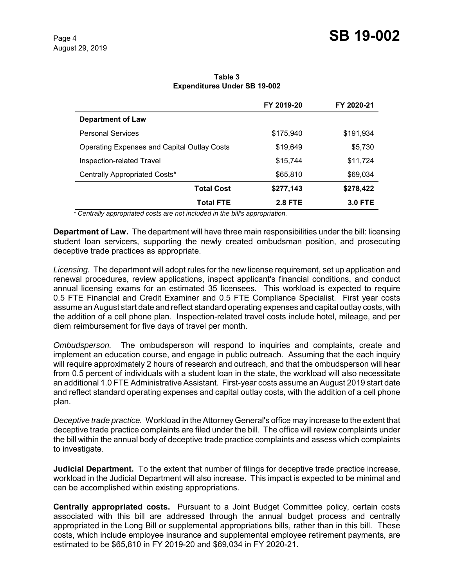|                                                    | FY 2019-20     | FY 2020-21     |
|----------------------------------------------------|----------------|----------------|
| <b>Department of Law</b>                           |                |                |
| <b>Personal Services</b>                           | \$175,940      | \$191,934      |
| <b>Operating Expenses and Capital Outlay Costs</b> | \$19,649       | \$5,730        |
| Inspection-related Travel                          | \$15,744       | \$11,724       |
| Centrally Appropriated Costs*                      | \$65,810       | \$69,034       |
| <b>Total Cost</b>                                  | \$277,143      | \$278,422      |
| <b>Total FTE</b>                                   | <b>2.8 FTE</b> | <b>3.0 FTE</b> |

**Table 3 Expenditures Under SB 19-002**

 *\* Centrally appropriated costs are not included in the bill's appropriation.*

**Department of Law.** The department will have three main responsibilities under the bill: licensing student loan servicers, supporting the newly created ombudsman position, and prosecuting deceptive trade practices as appropriate.

*Licensing.* The department will adopt rules for the new license requirement, set up application and renewal procedures, review applications, inspect applicant's financial conditions, and conduct annual licensing exams for an estimated 35 licensees. This workload is expected to require 0.5 FTE Financial and Credit Examiner and 0.5 FTE Compliance Specialist. First year costs assume an August start date and reflect standard operating expenses and capital outlay costs, with the addition of a cell phone plan. Inspection-related travel costs include hotel, mileage, and per diem reimbursement for five days of travel per month.

*Ombudsperson.* The ombudsperson will respond to inquiries and complaints, create and implement an education course, and engage in public outreach. Assuming that the each inquiry will require approximately 2 hours of research and outreach, and that the ombudsperson will hear from 0.5 percent of individuals with a student loan in the state, the workload will also necessitate an additional 1.0 FTE Administrative Assistant. First-year costs assume an August 2019 start date and reflect standard operating expenses and capital outlay costs, with the addition of a cell phone plan.

*Deceptive trade practice.* Workload in the Attorney General's office may increase to the extent that deceptive trade practice complaints are filed under the bill. The office will review complaints under the bill within the annual body of deceptive trade practice complaints and assess which complaints to investigate.

**Judicial Department.** To the extent that number of filings for deceptive trade practice increase, workload in the Judicial Department will also increase. This impact is expected to be minimal and can be accomplished within existing appropriations.

**Centrally appropriated costs.** Pursuant to a Joint Budget Committee policy, certain costs associated with this bill are addressed through the annual budget process and centrally appropriated in the Long Bill or supplemental appropriations bills, rather than in this bill. These costs, which include employee insurance and supplemental employee retirement payments, are estimated to be \$65,810 in FY 2019-20 and \$69,034 in FY 2020-21.